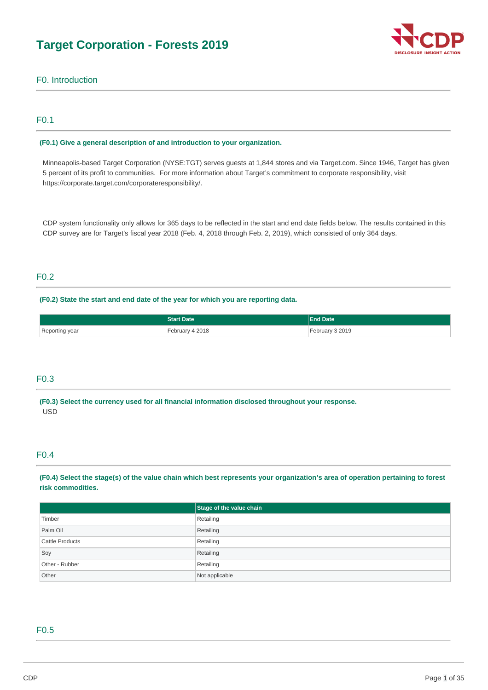# **Target Corporation - Forests 2019**



## F0. Introduction

## F0.1

#### **(F0.1) Give a general description of and introduction to your organization.**

Minneapolis-based Target Corporation (NYSE:TGT) serves guests at 1,844 stores and via Target.com. Since 1946, Target has given 5 percent of its profit to communities. For more information about Target's commitment to corporate responsibility, visit https://corporate.target.com/corporateresponsibility/.

CDP system functionality only allows for 365 days to be reflected in the start and end date fields below. The results contained in this CDP survey are for Target's fiscal year 2018 (Feb. 4, 2018 through Feb. 2, 2019), which consisted of only 364 days.

## F0.2

## **(F0.2) State the start and end date of the year for which you are reporting data.**

|                | <b>Start Date</b> | <b>End Date</b> |
|----------------|-------------------|-----------------|
| Reporting year | February 4 2018   | February 3 2019 |

## F0.3

**(F0.3) Select the currency used for all financial information disclosed throughout your response.**  USD

## F0.4

**(F0.4) Select the stage(s) of the value chain which best represents your organization's area of operation pertaining to forest risk commodities.** 

|                 | Stage of the value chain |
|-----------------|--------------------------|
| Timber          | Retailing                |
| Palm Oil        | Retailing                |
| Cattle Products | Retailing                |
| Soy             | Retailing                |
| Other - Rubber  | Retailing                |
| Other           | Not applicable           |

#### F0.5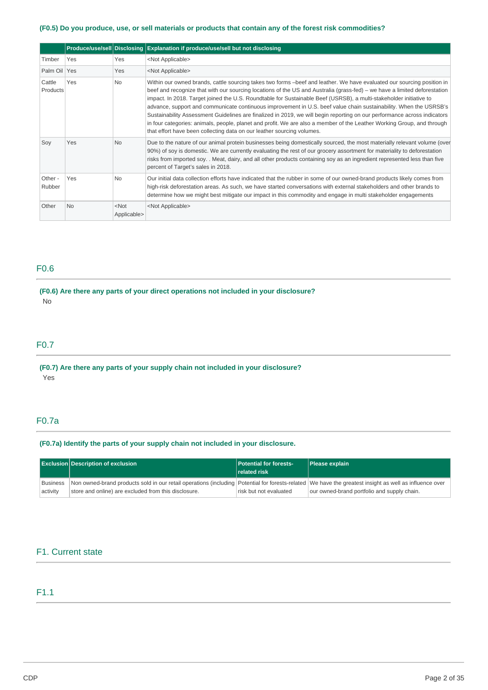### **(F0.5) Do you produce, use, or sell materials or products that contain any of the forest risk commodities?**

|                    |            |                        | Produce/use/sell Disclosing Explanation if produce/use/sell but not disclosing                                                                                                                                                                                                                                                                                                                                                                                                                                                                                                                                                                                                                                                                                                                                                 |
|--------------------|------------|------------------------|--------------------------------------------------------------------------------------------------------------------------------------------------------------------------------------------------------------------------------------------------------------------------------------------------------------------------------------------------------------------------------------------------------------------------------------------------------------------------------------------------------------------------------------------------------------------------------------------------------------------------------------------------------------------------------------------------------------------------------------------------------------------------------------------------------------------------------|
| Timber             | <b>Yes</b> | Yes                    | <not applicable=""></not>                                                                                                                                                                                                                                                                                                                                                                                                                                                                                                                                                                                                                                                                                                                                                                                                      |
| Palm Oil Yes       |            | Yes                    | <not applicable=""></not>                                                                                                                                                                                                                                                                                                                                                                                                                                                                                                                                                                                                                                                                                                                                                                                                      |
| Cattle<br>Products | Yes        | <b>No</b>              | Within our owned brands, cattle sourcing takes two forms -beef and leather. We have evaluated our sourcing position in<br>beef and recognize that with our sourcing locations of the US and Australia (grass-fed) – we have a limited deforestation<br>impact. In 2018. Target joined the U.S. Roundtable for Sustainable Beef (USRSB), a multi-stakeholder initiative to<br>advance, support and communicate continuous improvement in U.S. beef value chain sustainability. When the USRSB's<br>Sustainability Assessment Guidelines are finalized in 2019, we will begin reporting on our performance across indicators<br>in four categories: animals, people, planet and profit. We are also a member of the Leather Working Group, and through<br>that effort have been collecting data on our leather sourcing volumes. |
| Soy                | Yes        | <b>No</b>              | Due to the nature of our animal protein businesses being domestically sourced, the most materially relevant volume (over<br>90%) of soy is domestic. We are currently evaluating the rest of our grocery assortment for materiality to deforestation<br>risks from imported soy. Meat, dairy, and all other products containing soy as an ingredient represented less than five<br>percent of Target's sales in 2018.                                                                                                                                                                                                                                                                                                                                                                                                          |
| Other -<br>Rubber  | Yes        | <b>No</b>              | Our initial data collection efforts have indicated that the rubber in some of our owned-brand products likely comes from<br>high-risk deforestation areas. As such, we have started conversations with external stakeholders and other brands to<br>determine how we might best mitigate our impact in this commodity and engage in multi stakeholder engagements                                                                                                                                                                                                                                                                                                                                                                                                                                                              |
| Other              | No         | $<$ Not<br>Applicable> | <not applicable=""></not>                                                                                                                                                                                                                                                                                                                                                                                                                                                                                                                                                                                                                                                                                                                                                                                                      |

## F0.6

## **(F0.6) Are there any parts of your direct operations not included in your disclosure?**  No

## F0.7

## **(F0.7) Are there any parts of your supply chain not included in your disclosure?**  Yes

## F0.7a

## **(F0.7a) Identify the parts of your supply chain not included in your disclosure.**

|                      | <b>Exclusion Description of exclusion</b>                                                                                                                                                                      | <b>Potential for forests-</b><br><b>related risk</b> | Please explain                              |
|----------------------|----------------------------------------------------------------------------------------------------------------------------------------------------------------------------------------------------------------|------------------------------------------------------|---------------------------------------------|
| Business<br>activity | Non owned-brand products sold in our retail operations (including Potential for forests-related We have the greatest insight as well as influence over<br>store and online) are excluded from this disclosure. | risk but not evaluated                               | our owned-brand portfolio and supply chain. |

## F1. Current state

## F1.1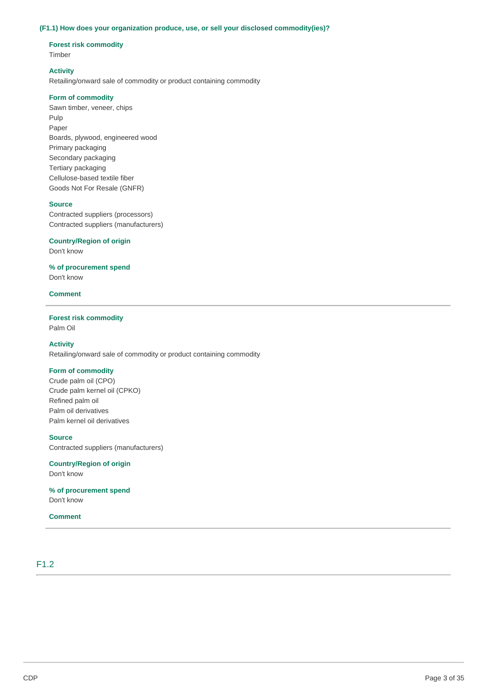#### **(F1.1) How does your organization produce, use, or sell your disclosed commodity(ies)?**

### **Forest risk commodity**  Timber

## **Activity**

Retailing/onward sale of commodity or product containing commodity

#### **Form of commodity**

Sawn timber, veneer, chips Pulp Paper Boards, plywood, engineered wood Primary packaging Secondary packaging Tertiary packaging Cellulose-based textile fiber Goods Not For Resale (GNFR)

#### **Source**

Contracted suppliers (processors) Contracted suppliers (manufacturers)

#### **Country/Region of origin**

Don't know

**% of procurement spend** 

Don't know

#### **Comment**

## **Forest risk commodity**

Palm Oil

#### **Activity**

Retailing/onward sale of commodity or product containing commodity

## **Form of commodity**

Crude palm oil (CPO) Crude palm kernel oil (CPKO) Refined palm oil Palm oil derivatives Palm kernel oil derivatives

## **Source**

Contracted suppliers (manufacturers)

## **Country/Region of origin**

Don't know

**% of procurement spend**  Don't know

## **Comment**

## F1.2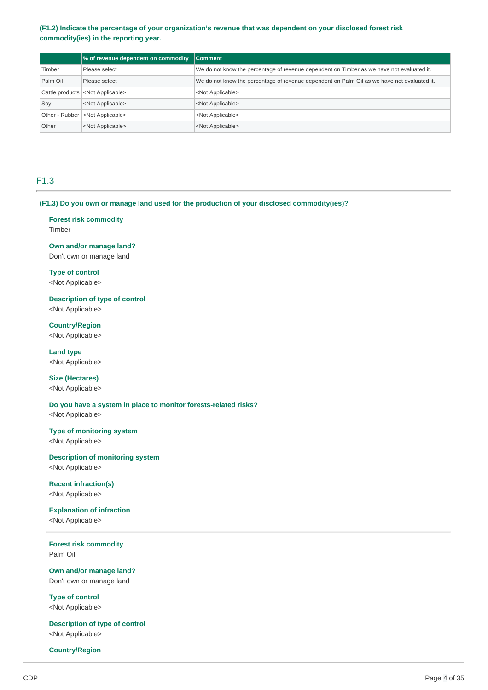### **(F1.2) Indicate the percentage of your organization's revenue that was dependent on your disclosed forest risk commodity(ies) in the reporting year.**

|          | $\frac{1}{2}$ of revenue dependent on commodity $\frac{1}{2}$ Comment |                                                                                             |
|----------|-----------------------------------------------------------------------|---------------------------------------------------------------------------------------------|
| Timber   | Please select                                                         | We do not know the percentage of revenue dependent on Timber as we have not evaluated it.   |
| Palm Oil | Please select                                                         | We do not know the percentage of revenue dependent on Palm Oil as we have not evaluated it. |
|          | Cattle products <not applicable=""></not>                             | <not applicable=""></not>                                                                   |
| Soy      | <not applicable=""></not>                                             | <not applicable=""></not>                                                                   |
|          | Other - Rubber <not applicable=""></not>                              | <not applicable=""></not>                                                                   |
| Other    | <not applicable=""></not>                                             | <not applicable=""></not>                                                                   |

## F1.3

**(F1.3) Do you own or manage land used for the production of your disclosed commodity(ies)?** 

### **Forest risk commodity**  Timber

**Own and/or manage land?**  Don't own or manage land

## **Type of control**  <Not Applicable>

**Description of type of control**  <Not Applicable>

**Country/Region**  <Not Applicable>

**Land type**  <Not Applicable>

**Size (Hectares)**  <Not Applicable>

**Do you have a system in place to monitor forests-related risks?**  <Not Applicable>

**Type of monitoring system**  <Not Applicable>

**Description of monitoring system**  <Not Applicable>

#### **Recent infraction(s)**  <Not Applicable>

## **Explanation of infraction**

<Not Applicable>

**Forest risk commodity**  Palm Oil

**Own and/or manage land?**  Don't own or manage land

**Type of control**  <Not Applicable>

**Description of type of control**  <Not Applicable>

#### **Country/Region**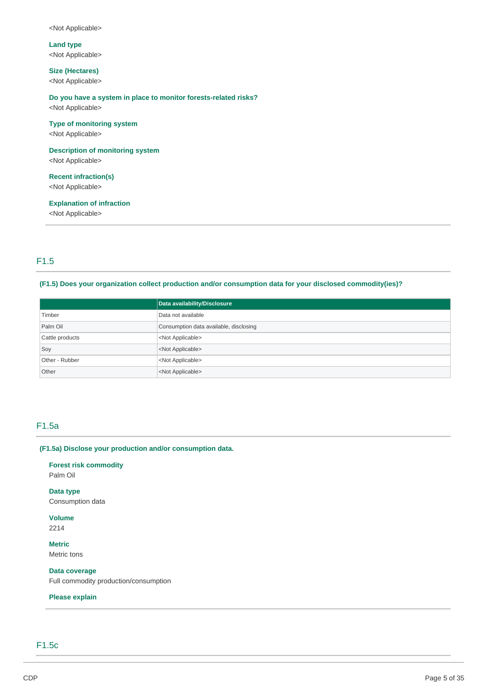<Not Applicable>

**Land type**  <Not Applicable>

**Size (Hectares)** 

<Not Applicable>

## **Do you have a system in place to monitor forests-related risks?**

<Not Applicable>

## **Type of monitoring system**

<Not Applicable>

## **Description of monitoring system**

<Not Applicable>

#### **Recent infraction(s)**

<Not Applicable>

### **Explanation of infraction**

<Not Applicable>

## F1.5

### **(F1.5) Does your organization collect production and/or consumption data for your disclosed commodity(ies)?**

|                 | Data availability/Disclosure           |
|-----------------|----------------------------------------|
| Timber          | Data not available                     |
| Palm Oil        | Consumption data available, disclosing |
| Cattle products | <not applicable=""></not>              |
| Soy             | <not applicable=""></not>              |
| Other - Rubber  | <not applicable=""></not>              |
| Other           | <not applicable=""></not>              |

## F1.5a

#### **(F1.5a) Disclose your production and/or consumption data.**

**Forest risk commodity**  Palm Oil

**Data type**  Consumption data

**Volume**  2214

**Metric**  Metric tons

**Data coverage**  Full commodity production/consumption

#### **Please explain**

## F1.5c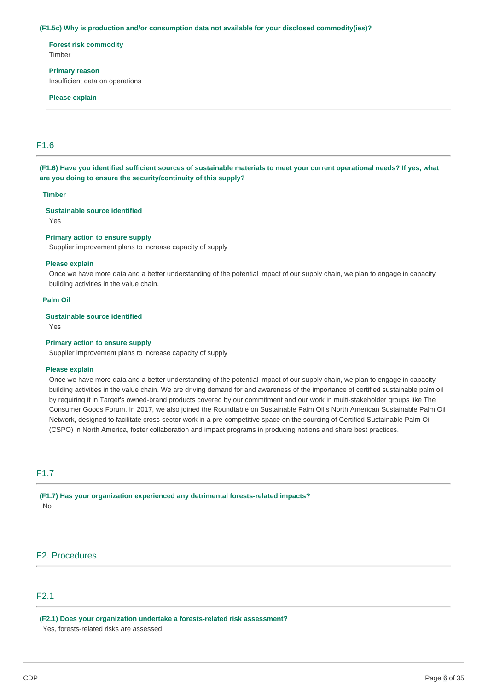#### **(F1.5c) Why is production and/or consumption data not available for your disclosed commodity(ies)?**

**Forest risk commodity**  Timber

**Primary reason**  Insufficient data on operations

#### **Please explain**

## F1.6

**(F1.6) Have you identified sufficient sources of sustainable materials to meet your current operational needs? If yes, what are you doing to ensure the security/continuity of this supply?** 

#### **Timber**

#### **Sustainable source identified**

Yes

#### **Primary action to ensure supply**

Supplier improvement plans to increase capacity of supply

#### **Please explain**

Once we have more data and a better understanding of the potential impact of our supply chain, we plan to engage in capacity building activities in the value chain.

#### **Palm Oil**

#### **Sustainable source identified**

Yes

#### **Primary action to ensure supply**

Supplier improvement plans to increase capacity of supply

#### **Please explain**

Once we have more data and a better understanding of the potential impact of our supply chain, we plan to engage in capacity building activities in the value chain. We are driving demand for and awareness of the importance of certified sustainable palm oil by requiring it in Target's owned-brand products covered by our commitment and our work in multi-stakeholder groups like The Consumer Goods Forum. In 2017, we also joined the Roundtable on Sustainable Palm Oil's North American Sustainable Palm Oil Network, designed to facilitate cross-sector work in a pre-competitive space on the sourcing of Certified Sustainable Palm Oil (CSPO) in North America, foster collaboration and impact programs in producing nations and share best practices.

## F1.7

**(F1.7) Has your organization experienced any detrimental forests-related impacts?**  No

## F2. Procedures

## F2.1

**(F2.1) Does your organization undertake a forests-related risk assessment?**  Yes, forests-related risks are assessed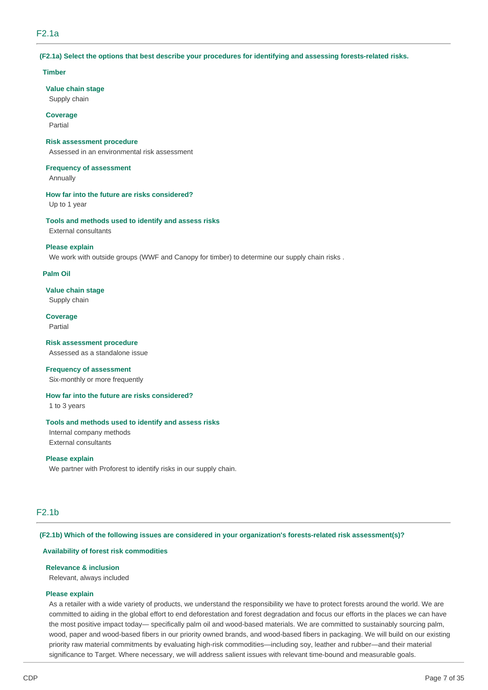## F2.1a

#### **(F2.1a) Select the options that best describe your procedures for identifying and assessing forests-related risks.**

#### **Timber**

#### **Value chain stage**

Supply chain

**Coverage**  Partial

#### **Risk assessment procedure**

Assessed in an environmental risk assessment

## **Frequency of assessment**

Annually

#### **How far into the future are risks considered?**

Up to 1 year

#### **Tools and methods used to identify and assess risks**  External consultants

#### **Please explain**

We work with outside groups (WWF and Canopy for timber) to determine our supply chain risks.

#### **Palm Oil**

#### **Value chain stage**

Supply chain

#### **Coverage**  Partial

## **Risk assessment procedure**

Assessed as a standalone issue

#### **Frequency of assessment**

Six-monthly or more frequently

#### **How far into the future are risks considered?**

1 to 3 years

#### **Tools and methods used to identify and assess risks**

Internal company methods External consultants

#### **Please explain**

We partner with Proforest to identify risks in our supply chain.

## F2.1b

#### **(F2.1b) Which of the following issues are considered in your organization's forests-related risk assessment(s)?**

#### **Availability of forest risk commodities**

#### **Relevance & inclusion**

Relevant, always included

#### **Please explain**

As a retailer with a wide variety of products, we understand the responsibility we have to protect forests around the world. We are committed to aiding in the global effort to end deforestation and forest degradation and focus our efforts in the places we can have the most positive impact today— specifically palm oil and wood-based materials. We are committed to sustainably sourcing palm, wood, paper and wood-based fibers in our priority owned brands, and wood-based fibers in packaging. We will build on our existing priority raw material commitments by evaluating high-risk commodities—including soy, leather and rubber—and their material significance to Target. Where necessary, we will address salient issues with relevant time-bound and measurable goals.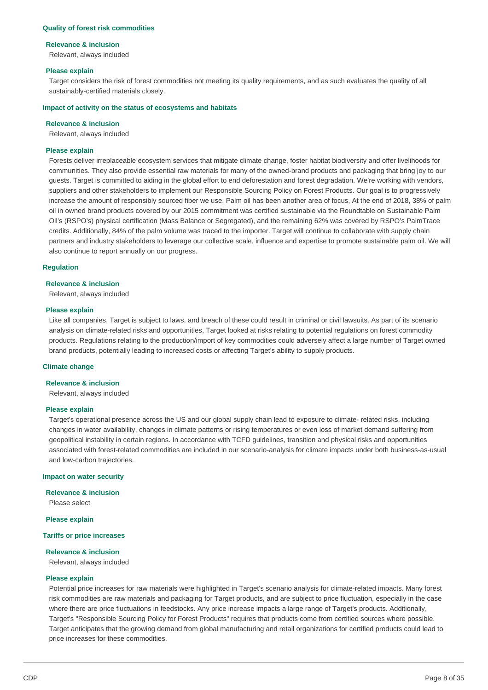#### **Quality of forest risk commodities**

#### **Relevance & inclusion**

Relevant, always included

#### **Please explain**

Target considers the risk of forest commodities not meeting its quality requirements, and as such evaluates the quality of all sustainably-certified materials closely.

#### **Impact of activity on the status of ecosystems and habitats**

#### **Relevance & inclusion**

Relevant, always included

#### **Please explain**

Forests deliver irreplaceable ecosystem services that mitigate climate change, foster habitat biodiversity and offer livelihoods for communities. They also provide essential raw materials for many of the owned-brand products and packaging that bring joy to our guests. Target is committed to aiding in the global effort to end deforestation and forest degradation. We're working with vendors, suppliers and other stakeholders to implement our Responsible Sourcing Policy on Forest Products. Our goal is to progressively increase the amount of responsibly sourced fiber we use. Palm oil has been another area of focus, At the end of 2018, 38% of palm oil in owned brand products covered by our 2015 commitment was certified sustainable via the Roundtable on Sustainable Palm Oil's (RSPO's) physical certification (Mass Balance or Segregated), and the remaining 62% was covered by RSPO's PalmTrace credits. Additionally, 84% of the palm volume was traced to the importer. Target will continue to collaborate with supply chain partners and industry stakeholders to leverage our collective scale, influence and expertise to promote sustainable palm oil. We will also continue to report annually on our progress.

#### **Regulation**

#### **Relevance & inclusion**

Relevant, always included

#### **Please explain**

Like all companies, Target is subject to laws, and breach of these could result in criminal or civil lawsuits. As part of its scenario analysis on climate-related risks and opportunities, Target looked at risks relating to potential regulations on forest commodity products. Regulations relating to the production/import of key commodities could adversely affect a large number of Target owned brand products, potentially leading to increased costs or affecting Target's ability to supply products.

#### **Climate change**

#### **Relevance & inclusion**

Relevant, always included

#### **Please explain**

Target's operational presence across the US and our global supply chain lead to exposure to climate- related risks, including changes in water availability, changes in climate patterns or rising temperatures or even loss of market demand suffering from geopolitical instability in certain regions. In accordance with TCFD guidelines, transition and physical risks and opportunities associated with forest-related commodities are included in our scenario-analysis for climate impacts under both business-as-usual and low-carbon trajectories.

#### **Impact on water security**

**Relevance & inclusion**  Please select

**Please explain** 

#### **Tariffs or price increases**

#### **Relevance & inclusion**

Relevant, always included

#### **Please explain**

Potential price increases for raw materials were highlighted in Target's scenario analysis for climate-related impacts. Many forest risk commodities are raw materials and packaging for Target products, and are subject to price fluctuation, especially in the case where there are price fluctuations in feedstocks. Any price increase impacts a large range of Target's products. Additionally, Target's "Responsible Sourcing Policy for Forest Products" requires that products come from certified sources where possible. Target anticipates that the growing demand from global manufacturing and retail organizations for certified products could lead to price increases for these commodities.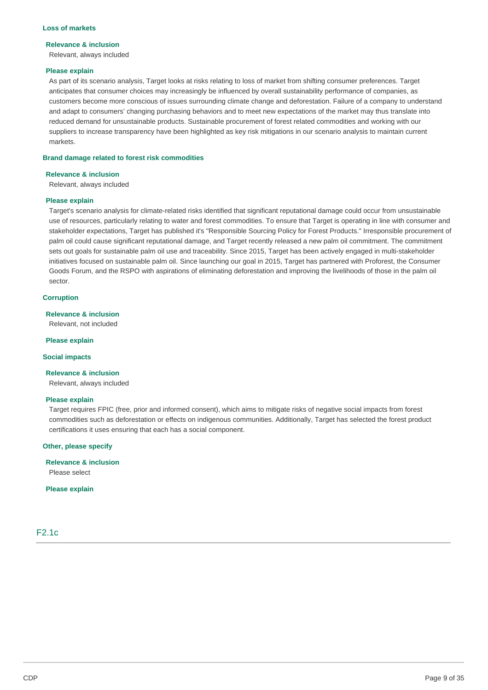#### **Loss of markets**

#### **Relevance & inclusion**

Relevant, always included

#### **Please explain**

As part of its scenario analysis, Target looks at risks relating to loss of market from shifting consumer preferences. Target anticipates that consumer choices may increasingly be influenced by overall sustainability performance of companies, as customers become more conscious of issues surrounding climate change and deforestation. Failure of a company to understand and adapt to consumers' changing purchasing behaviors and to meet new expectations of the market may thus translate into reduced demand for unsustainable products. Sustainable procurement of forest related commodities and working with our suppliers to increase transparency have been highlighted as key risk mitigations in our scenario analysis to maintain current markets.

#### **Brand damage related to forest risk commodities**

#### **Relevance & inclusion**

Relevant, always included

#### **Please explain**

Target's scenario analysis for climate-related risks identified that significant reputational damage could occur from unsustainable use of resources, particularly relating to water and forest commodities. To ensure that Target is operating in line with consumer and stakeholder expectations, Target has published it's "Responsible Sourcing Policy for Forest Products." Irresponsible procurement of palm oil could cause significant reputational damage, and Target recently released a new palm oil commitment. The commitment sets out goals for sustainable palm oil use and traceability. Since 2015, Target has been actively engaged in multi-stakeholder initiatives focused on sustainable palm oil. Since launching our goal in 2015, Target has partnered with Proforest, the Consumer Goods Forum, and the RSPO with aspirations of eliminating deforestation and improving the livelihoods of those in the palm oil sector.

#### **Corruption**

#### **Relevance & inclusion**

Relevant, not included

#### **Please explain**

**Social impacts** 

#### **Relevance & inclusion**

Relevant, always included

#### **Please explain**

Target requires FPIC (free, prior and informed consent), which aims to mitigate risks of negative social impacts from forest commodities such as deforestation or effects on indigenous communities. Additionally, Target has selected the forest product certifications it uses ensuring that each has a social component.

#### **Other, please specify**

**Relevance & inclusion**  Please select

**Please explain**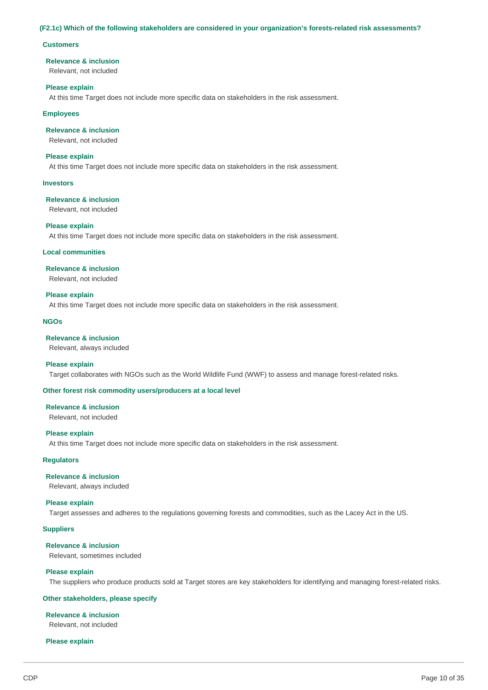#### **(F2.1c) Which of the following stakeholders are considered in your organization's forests-related risk assessments?**

#### **Customers**

#### **Relevance & inclusion**

Relevant, not included

#### **Please explain**

At this time Target does not include more specific data on stakeholders in the risk assessment.

#### **Employees**

## **Relevance & inclusion**

Relevant, not included

#### **Please explain**

At this time Target does not include more specific data on stakeholders in the risk assessment.

#### **Investors**

#### **Relevance & inclusion**

Relevant, not included

#### **Please explain**

At this time Target does not include more specific data on stakeholders in the risk assessment.

#### **Local communities**

#### **Relevance & inclusion**

Relevant, not included

#### **Please explain**

At this time Target does not include more specific data on stakeholders in the risk assessment.

#### **NGOs**

#### **Relevance & inclusion**

Relevant, always included

#### **Please explain**

Target collaborates with NGOs such as the World Wildlife Fund (WWF) to assess and manage forest-related risks.

#### **Other forest risk commodity users/producers at a local level**

### **Relevance & inclusion**

Relevant, not included

#### **Please explain**

At this time Target does not include more specific data on stakeholders in the risk assessment.

## **Regulators**

## **Relevance & inclusion**

Relevant, always included

## **Please explain**

Target assesses and adheres to the regulations governing forests and commodities, such as the Lacey Act in the US.

## **Suppliers**

## **Relevance & inclusion**

Relevant, sometimes included

## **Please explain**

The suppliers who produce products sold at Target stores are key stakeholders for identifying and managing forest-related risks.

## **Other stakeholders, please specify**

## **Relevance & inclusion**

Relevant, not included

## **Please explain**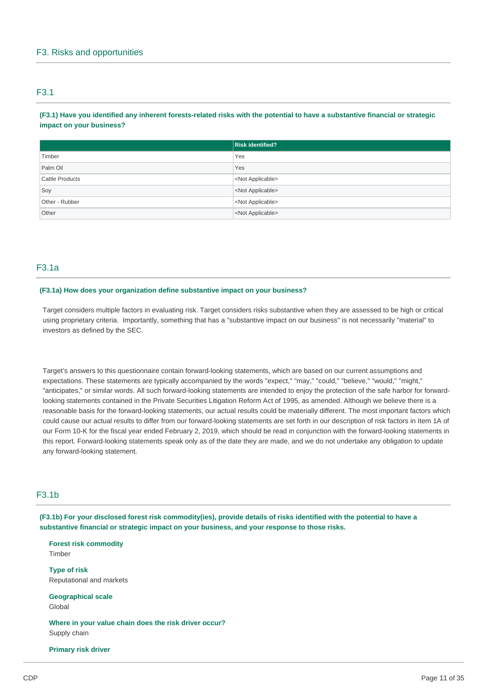## F3.1

## **(F3.1) Have you identified any inherent forests-related risks with the potential to have a substantive financial or strategic impact on your business?**

|                 | <b>Risk identified?</b>   |
|-----------------|---------------------------|
| Timber          | Yes                       |
| Palm Oil        | Yes                       |
| Cattle Products | <not applicable=""></not> |
| Soy             | <not applicable=""></not> |
| Other - Rubber  | <not applicable=""></not> |
| Other           | <not applicable=""></not> |

## F3.1a

#### **(F3.1a) How does your organization define substantive impact on your business?**

Target considers multiple factors in evaluating risk. Target considers risks substantive when they are assessed to be high or critical using proprietary criteria. Importantly, something that has a "substantive impact on our business" is not necessarily "material" to investors as defined by the SEC.

Target's answers to this questionnaire contain forward-looking statements, which are based on our current assumptions and expectations. These statements are typically accompanied by the words "expect," "may," "could," "believe," "would," "might," "anticipates," or similar words. All such forward-looking statements are intended to enjoy the protection of the safe harbor for forwardlooking statements contained in the Private Securities Litigation Reform Act of 1995, as amended. Although we believe there is a reasonable basis for the forward-looking statements, our actual results could be materially different. The most important factors which could cause our actual results to differ from our forward-looking statements are set forth in our description of risk factors in Item 1A of our Form 10-K for the fiscal year ended February 2, 2019, which should be read in conjunction with the forward-looking statements in this report. Forward-looking statements speak only as of the date they are made, and we do not undertake any obligation to update any forward-looking statement.

## F3.1b

**(F3.1b) For your disclosed forest risk commodity(ies), provide details of risks identified with the potential to have a substantive financial or strategic impact on your business, and your response to those risks.** 

**Forest risk commodity**  Timber

**Type of risk**  Reputational and markets

**Geographical scale**  Global

**Where in your value chain does the risk driver occur?**  Supply chain

#### **Primary risk driver**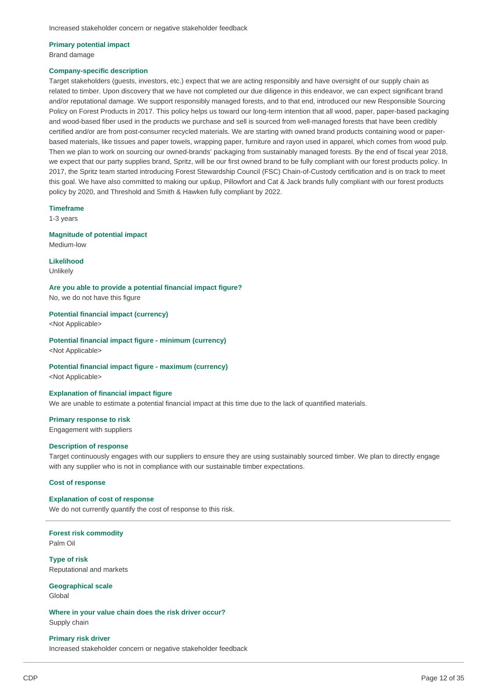## **Primary potential impact**

Brand damage

#### **Company-specific description**

Target stakeholders (guests, investors, etc.) expect that we are acting responsibly and have oversight of our supply chain as related to timber. Upon discovery that we have not completed our due diligence in this endeavor, we can expect significant brand and/or reputational damage. We support responsibly managed forests, and to that end, introduced our new Responsible Sourcing Policy on Forest Products in 2017. This policy helps us toward our long-term intention that all wood, paper, paper-based packaging and wood-based fiber used in the products we purchase and sell is sourced from well-managed forests that have been credibly certified and/or are from post-consumer recycled materials. We are starting with owned brand products containing wood or paperbased materials, like tissues and paper towels, wrapping paper, furniture and rayon used in apparel, which comes from wood pulp. Then we plan to work on sourcing our owned-brands' packaging from sustainably managed forests. By the end of fiscal year 2018, we expect that our party supplies brand, Spritz, will be our first owned brand to be fully compliant with our forest products policy. In 2017, the Spritz team started introducing Forest Stewardship Council (FSC) Chain-of-Custody certification and is on track to meet this goal. We have also committed to making our up&up, Pillowfort and Cat & Jack brands fully compliant with our forest products policy by 2020, and Threshold and Smith & Hawken fully compliant by 2022.

#### **Timeframe**

1-3 years

#### **Magnitude of potential impact**

Medium-low

## **Likelihood**

Unlikely

### **Are you able to provide a potential financial impact figure?**

No, we do not have this figure

**Potential financial impact (currency)** 

<Not Applicable>

## **Potential financial impact figure - minimum (currency)**

<Not Applicable>

#### **Potential financial impact figure - maximum (currency)**

<Not Applicable>

#### **Explanation of financial impact figure**

We are unable to estimate a potential financial impact at this time due to the lack of quantified materials.

#### **Primary response to risk**

Engagement with suppliers

#### **Description of response**

Target continuously engages with our suppliers to ensure they are using sustainably sourced timber. We plan to directly engage with any supplier who is not in compliance with our sustainable timber expectations.

#### **Cost of response**

#### **Explanation of cost of response**

We do not currently quantify the cost of response to this risk.

#### **Forest risk commodity**  Palm Oil

**Type of risk**  Reputational and markets

**Geographical scale**  Global

**Where in your value chain does the risk driver occur?**  Supply chain

#### **Primary risk driver**  Increased stakeholder concern or negative stakeholder feedback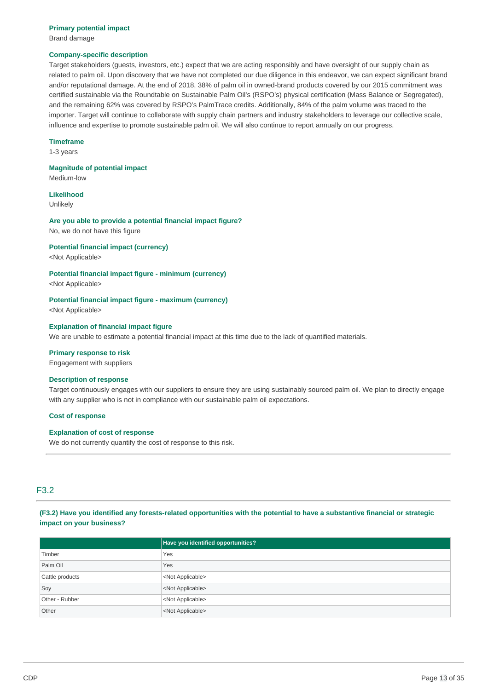Brand damage

#### **Company-specific description**

Target stakeholders (guests, investors, etc.) expect that we are acting responsibly and have oversight of our supply chain as related to palm oil. Upon discovery that we have not completed our due diligence in this endeavor, we can expect significant brand and/or reputational damage. At the end of 2018, 38% of palm oil in owned-brand products covered by our 2015 commitment was certified sustainable via the Roundtable on Sustainable Palm Oil's (RSPO's) physical certification (Mass Balance or Segregated), and the remaining 62% was covered by RSPO's PalmTrace credits. Additionally, 84% of the palm volume was traced to the importer. Target will continue to collaborate with supply chain partners and industry stakeholders to leverage our collective scale, influence and expertise to promote sustainable palm oil. We will also continue to report annually on our progress.

#### **Timeframe**

1-3 years

#### **Magnitude of potential impact**

Medium-low

#### **Likelihood**

Unlikely

#### **Are you able to provide a potential financial impact figure?**  No, we do not have this figure

**Potential financial impact (currency)** 

<Not Applicable>

#### **Potential financial impact figure - minimum (currency)**

<Not Applicable>

#### **Potential financial impact figure - maximum (currency)**

<Not Applicable>

#### **Explanation of financial impact figure**

We are unable to estimate a potential financial impact at this time due to the lack of quantified materials.

#### **Primary response to risk**

Engagement with suppliers

#### **Description of response**

Target continuously engages with our suppliers to ensure they are using sustainably sourced palm oil. We plan to directly engage with any supplier who is not in compliance with our sustainable palm oil expectations.

#### **Cost of response**

#### **Explanation of cost of response**

We do not currently quantify the cost of response to this risk.

## F3.2

## **(F3.2) Have you identified any forests-related opportunities with the potential to have a substantive financial or strategic impact on your business?**

|                 | Have you identified opportunities? |
|-----------------|------------------------------------|
| Timber          | Yes                                |
| Palm Oil        | Yes                                |
| Cattle products | <not applicable=""></not>          |
| Soy             | <not applicable=""></not>          |
| Other - Rubber  | <not applicable=""></not>          |
| Other           | <not applicable=""></not>          |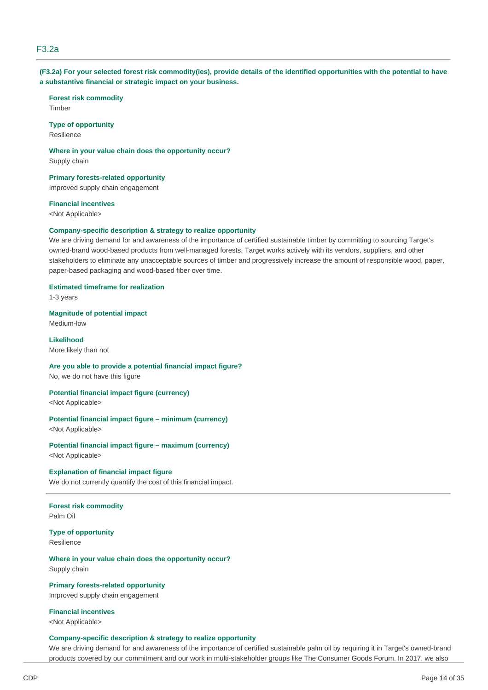## F3.2a

#### **(F3.2a) For your selected forest risk commodity(ies), provide details of the identified opportunities with the potential to have a substantive financial or strategic impact on your business.**

**Forest risk commodity**  Timber

#### **Type of opportunity**

Resilience

**Where in your value chain does the opportunity occur?**  Supply chain

**Primary forests-related opportunity**  Improved supply chain engagement

#### **Financial incentives**

<Not Applicable>

#### **Company-specific description & strategy to realize opportunity**

We are driving demand for and awareness of the importance of certified sustainable timber by committing to sourcing Target's owned-brand wood-based products from well-managed forests. Target works actively with its vendors, suppliers, and other stakeholders to eliminate any unacceptable sources of timber and progressively increase the amount of responsible wood, paper, paper-based packaging and wood-based fiber over time.

#### **Estimated timeframe for realization**

1-3 years

## **Magnitude of potential impact**

Medium-low

#### **Likelihood**  More likely than not

## **Are you able to provide a potential financial impact figure?**

No, we do not have this figure

### **Potential financial impact figure (currency)**

<Not Applicable>

## **Potential financial impact figure – minimum (currency)**

<Not Applicable>

#### **Potential financial impact figure – maximum (currency)**  <Not Applicable>

**Explanation of financial impact figure** 

## We do not currently quantify the cost of this financial impact.

## **Forest risk commodity**

Palm Oil

### **Type of opportunity**  Resilience

### **Where in your value chain does the opportunity occur?**  Supply chain

**Primary forests-related opportunity**  Improved supply chain engagement

## **Financial incentives**

<Not Applicable>

## **Company-specific description & strategy to realize opportunity**

We are driving demand for and awareness of the importance of certified sustainable palm oil by requiring it in Target's owned-brand products covered by our commitment and our work in multi-stakeholder groups like The Consumer Goods Forum. In 2017, we also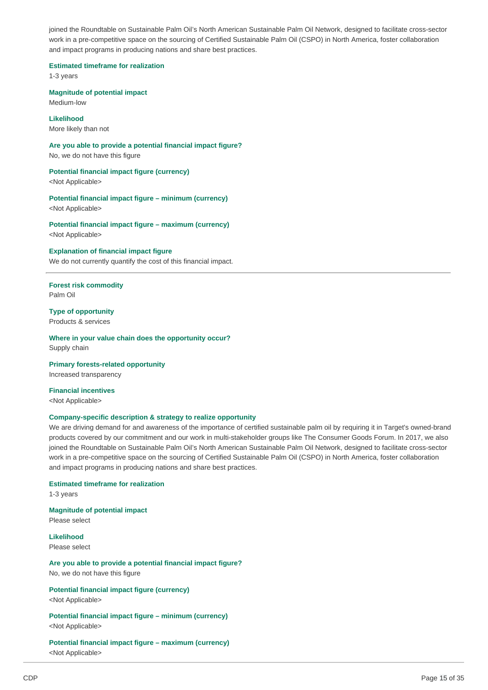joined the Roundtable on Sustainable Palm Oil's North American Sustainable Palm Oil Network, designed to facilitate cross-sector work in a pre-competitive space on the sourcing of Certified Sustainable Palm Oil (CSPO) in North America, foster collaboration and impact programs in producing nations and share best practices.

**Estimated timeframe for realization** 

1-3 years

**Magnitude of potential impact**  Medium-low

**Likelihood**  More likely than not

**Are you able to provide a potential financial impact figure?**  No, we do not have this figure

#### **Potential financial impact figure (currency)**

<Not Applicable>

**Potential financial impact figure – minimum (currency)**  <Not Applicable>

**Potential financial impact figure – maximum (currency)**  <Not Applicable>

#### **Explanation of financial impact figure**

We do not currently quantify the cost of this financial impact.

**Forest risk commodity**  Palm Oil

**Type of opportunity**  Products & services

**Where in your value chain does the opportunity occur?**  Supply chain

**Primary forests-related opportunity**  Increased transparency

**Financial incentives**  <Not Applicable>

#### **Company-specific description & strategy to realize opportunity**

We are driving demand for and awareness of the importance of certified sustainable palm oil by requiring it in Target's owned-brand products covered by our commitment and our work in multi-stakeholder groups like The Consumer Goods Forum. In 2017, we also joined the Roundtable on Sustainable Palm Oil's North American Sustainable Palm Oil Network, designed to facilitate cross-sector work in a pre-competitive space on the sourcing of Certified Sustainable Palm Oil (CSPO) in North America, foster collaboration and impact programs in producing nations and share best practices.

#### **Estimated timeframe for realization**

1-3 years

## **Magnitude of potential impact**

Please select

**Likelihood**  Please select

**Are you able to provide a potential financial impact figure?**  No, we do not have this figure

**Potential financial impact figure (currency)**  <Not Applicable>

**Potential financial impact figure – minimum (currency)**  <Not Applicable>

**Potential financial impact figure – maximum (currency)**  <Not Applicable>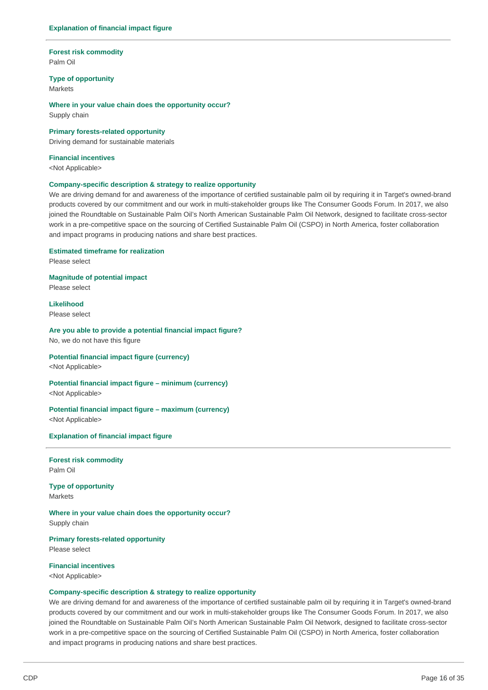#### **Forest risk commodity**  Palm Oil

**Type of opportunity** 

Markets

**Where in your value chain does the opportunity occur?**  Supply chain

**Primary forests-related opportunity**  Driving demand for sustainable materials

## **Financial incentives**

<Not Applicable>

#### **Company-specific description & strategy to realize opportunity**

We are driving demand for and awareness of the importance of certified sustainable palm oil by requiring it in Target's owned-brand products covered by our commitment and our work in multi-stakeholder groups like The Consumer Goods Forum. In 2017, we also joined the Roundtable on Sustainable Palm Oil's North American Sustainable Palm Oil Network, designed to facilitate cross-sector work in a pre-competitive space on the sourcing of Certified Sustainable Palm Oil (CSPO) in North America, foster collaboration and impact programs in producing nations and share best practices.

#### **Estimated timeframe for realization**

Please select

## **Magnitude of potential impact**

Please select

## **Likelihood**

Please select

#### **Are you able to provide a potential financial impact figure?**  No, we do not have this figure

## **Potential financial impact figure (currency)**

<Not Applicable>

#### **Potential financial impact figure – minimum (currency)**  <Not Applicable>

## **Potential financial impact figure – maximum (currency)**

<Not Applicable>

#### **Explanation of financial impact figure**

**Forest risk commodity**  Palm Oil

#### **Type of opportunity**  Markets

**Where in your value chain does the opportunity occur?**  Supply chain

#### **Primary forests-related opportunity**

Please select

#### **Financial incentives**

<Not Applicable>

#### **Company-specific description & strategy to realize opportunity**

We are driving demand for and awareness of the importance of certified sustainable palm oil by requiring it in Target's owned-brand products covered by our commitment and our work in multi-stakeholder groups like The Consumer Goods Forum. In 2017, we also joined the Roundtable on Sustainable Palm Oil's North American Sustainable Palm Oil Network, designed to facilitate cross-sector work in a pre-competitive space on the sourcing of Certified Sustainable Palm Oil (CSPO) in North America, foster collaboration and impact programs in producing nations and share best practices.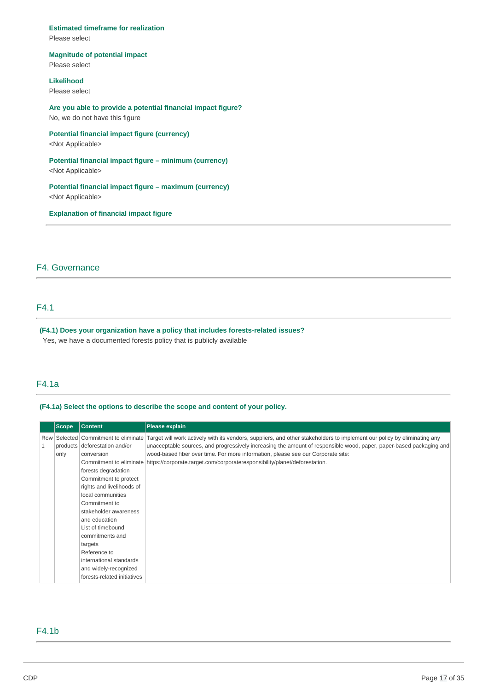#### **Estimated timeframe for realization**

Please select

#### **Magnitude of potential impact**

Please select

### **Likelihood**

Please select

## **Are you able to provide a potential financial impact figure?**  No, we do not have this figure

## **Potential financial impact figure (currency)**

<Not Applicable>

## **Potential financial impact figure – minimum (currency)**

<Not Applicable>

## **Potential financial impact figure – maximum (currency)**  <Not Applicable>

**Explanation of financial impact figure** 

## F4. Governance

## F4.1

### **(F4.1) Does your organization have a policy that includes forests-related issues?**  Yes, we have a documented forests policy that is publicly available

## F4.1a

#### **(F4.1a) Select the options to describe the scope and content of your policy.**

| <b>Scope</b>               | <b>Content</b>                                                                                                                                                                                                                                                                                                                                                 | Please explain                                                                                                                                                                                                                                                                                                                                                                                                                                                             |
|----------------------------|----------------------------------------------------------------------------------------------------------------------------------------------------------------------------------------------------------------------------------------------------------------------------------------------------------------------------------------------------------------|----------------------------------------------------------------------------------------------------------------------------------------------------------------------------------------------------------------------------------------------------------------------------------------------------------------------------------------------------------------------------------------------------------------------------------------------------------------------------|
| Row<br>$\mathbf 1$<br>only | products deforestation and/or<br>conversion<br>forests degradation<br>Commitment to protect<br>rights and livelihoods of<br>local communities<br>Commitment to<br>stakeholder awareness<br>and education<br>List of timebound<br>commitments and<br>targets<br>Reference to<br>international standards<br>and widely-recognized<br>forests-related initiatives | Selected Commitment to eliminate Target will work actively with its vendors, suppliers, and other stakeholders to implement our policy by eliminating any<br>unacceptable sources, and progressively increasing the amount of responsible wood, paper, paper-based packaging and<br>wood-based fiber over time. For more information, please see our Corporate site:<br>Commitment to eliminate https://corporate.target.com/corporateresponsibility/planet/deforestation. |

## F4.1b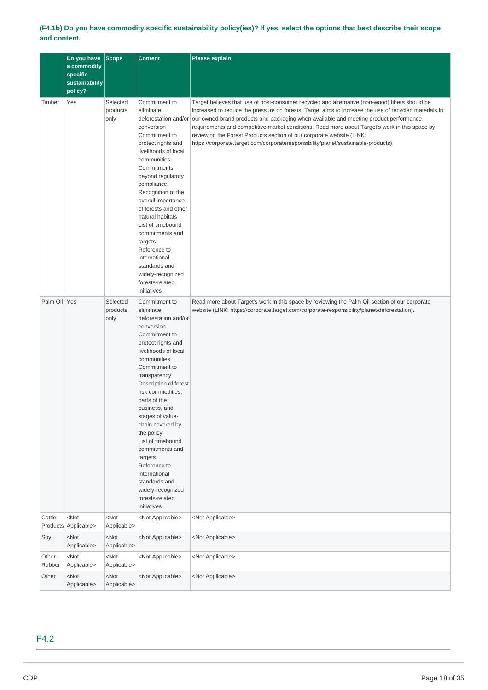## **(F4.1b) Do you have commodity specific sustainability policy(ies)? If yes, select the options that best describe their scope and content.**

|                   | Do you have Scope<br>a commodity<br>specific<br>sustainability<br>policy? |                                 | <b>Content</b>                                                                                                                                                                                                                                                                                                                                                                                                                                                                   | <b>Please explain</b>                                                                                                                                                                                                                                                                                                                                                                                                                                                                                                                                                                  |
|-------------------|---------------------------------------------------------------------------|---------------------------------|----------------------------------------------------------------------------------------------------------------------------------------------------------------------------------------------------------------------------------------------------------------------------------------------------------------------------------------------------------------------------------------------------------------------------------------------------------------------------------|----------------------------------------------------------------------------------------------------------------------------------------------------------------------------------------------------------------------------------------------------------------------------------------------------------------------------------------------------------------------------------------------------------------------------------------------------------------------------------------------------------------------------------------------------------------------------------------|
| Timber            | Yes                                                                       | Selected<br>products<br>only    | Commitment to<br>eliminate<br>conversion<br>Commitment to<br>protect rights and<br>livelihoods of local<br>communities<br>Commitments<br>beyond regulatory<br>compliance<br>Recognition of the<br>overall importance<br>of forests and other<br>natural habitats<br>List of timebound<br>commitments and<br>targets<br>Reference to<br>international<br>standards and<br>widely-recognized<br>forests-related<br>initiatives                                                     | Target believes that use of post-consumer recycled and alternative (non-wood) fibers should be<br>increased to reduce the pressure on forests. Target aims to increase the use of recycled materials in<br>deforestation and/or our owned brand products and packaging when available and meeting product performance<br>requirements and competitive market conditions. Read more about Target's work in this space by<br>reviewing the Forest Products section of our corporate website (LINK:<br>https://corporate.target.com/corporateresponsibility/planet/sustainable-products). |
| Palm Oil Yes      |                                                                           | Selected<br>products<br>only    | Commitment to<br>eliminate<br>deforestation and/or<br>conversion<br>Commitment to<br>protect rights and<br>livelihoods of local<br>communities<br>Commitment to<br>transparency<br>Description of forest<br>risk commodities,<br>parts of the<br>business, and<br>stages of value-<br>chain covered by<br>the policy<br>List of timebound<br>commitments and<br>targets<br>Reference to<br>international<br>standards and<br>widely-recognized<br>forests-related<br>initiatives | Read more about Target's work in this space by reviewing the Palm Oil section of our corporate<br>website (LINK: https://corporate.target.com/corporate-responsibility/planet/deforestation).                                                                                                                                                                                                                                                                                                                                                                                          |
| Cattle            | $<$ Not<br>Products Applicable>                                           | <not<br>Applicable&gt;</not<br> | <not applicable=""></not>                                                                                                                                                                                                                                                                                                                                                                                                                                                        | <not applicable=""></not>                                                                                                                                                                                                                                                                                                                                                                                                                                                                                                                                                              |
| Soy               | $<$ Not<br>Applicable>                                                    | <not<br>Applicable&gt;</not<br> | <not applicable=""></not>                                                                                                                                                                                                                                                                                                                                                                                                                                                        | <not applicable=""></not>                                                                                                                                                                                                                                                                                                                                                                                                                                                                                                                                                              |
| Other -<br>Rubber | $<$ Not<br>Applicable>                                                    | <not<br>Applicable&gt;</not<br> | <not applicable=""></not>                                                                                                                                                                                                                                                                                                                                                                                                                                                        | <not applicable=""></not>                                                                                                                                                                                                                                                                                                                                                                                                                                                                                                                                                              |
| Other             | $<$ Not<br>Applicable>                                                    | <not<br>Applicable&gt;</not<br> | <not applicable=""></not>                                                                                                                                                                                                                                                                                                                                                                                                                                                        | <not applicable=""></not>                                                                                                                                                                                                                                                                                                                                                                                                                                                                                                                                                              |

## F4.2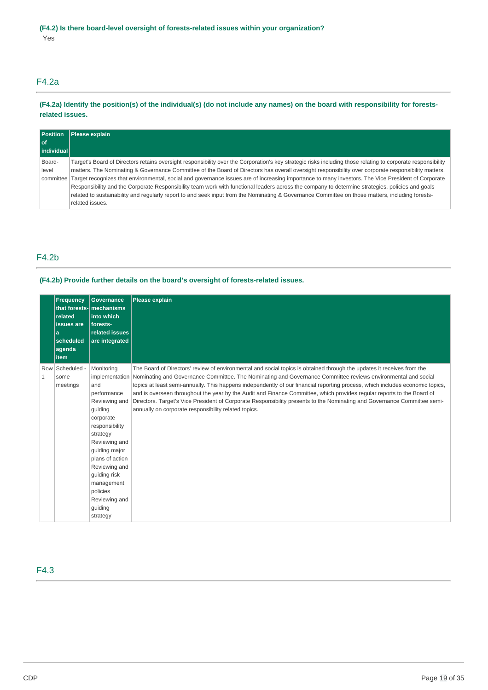## F4.2a

## **(F4.2a) Identify the position(s) of the individual(s) (do not include any names) on the board with responsibility for forestsrelated issues.**

| <b>Position</b>        | Please explain                                                                                                                                               |
|------------------------|--------------------------------------------------------------------------------------------------------------------------------------------------------------|
| l of<br>l individual l |                                                                                                                                                              |
|                        |                                                                                                                                                              |
| Board-                 | Target's Board of Directors retains oversight responsibility over the Corporation's key strategic risks including those relating to corporate responsibility |
| level                  | matters. The Nominating & Governance Committee of the Board of Directors has overall oversight responsibility over corporate responsibility matters.         |
|                        | committee Target recognizes that environmental, social and governance issues are of increasing importance to many investors. The Vice President of Corporate |
|                        | Responsibility and the Corporate Responsibility team work with functional leaders across the company to determine strategies, policies and goals             |
|                        | related to sustainability and regularly report to and seek input from the Nominating & Governance Committee on those matters, including forests-             |
|                        | related issues.                                                                                                                                              |

## F4.2b

### **(F4.2b) Provide further details on the board's oversight of forests-related issues.**

|              | <b>Frequency</b><br>related<br><b>issues</b> are<br>a<br>scheduled<br>agenda<br>item | <b>Governance</b><br>that forests- mechanisms<br>into which<br>forests-<br>related issues<br>are integrated                                                                                                                                                     | Please explain                                                                                                                                                                                                                                                                                                                                                                                                                                                                                                                                                                                                                                                                                        |
|--------------|--------------------------------------------------------------------------------------|-----------------------------------------------------------------------------------------------------------------------------------------------------------------------------------------------------------------------------------------------------------------|-------------------------------------------------------------------------------------------------------------------------------------------------------------------------------------------------------------------------------------------------------------------------------------------------------------------------------------------------------------------------------------------------------------------------------------------------------------------------------------------------------------------------------------------------------------------------------------------------------------------------------------------------------------------------------------------------------|
| $\mathbf{1}$ | Row Scheduled -<br>some<br>meetings                                                  | Monitoring<br>and<br>performance<br>Reviewing and<br>quiding<br>corporate<br>responsibility<br>strategy<br>Reviewing and<br>quiding major<br>plans of action<br>Reviewing and<br>quiding risk<br>management<br>policies<br>Reviewing and<br>guiding<br>strategy | The Board of Directors' review of environmental and social topics is obtained through the updates it receives from the<br>implementation Nominating and Governance Committee. The Nominating and Governance Committee reviews environmental and social<br>topics at least semi-annually. This happens independently of our financial reporting process, which includes economic topics,<br>and is overseen throughout the year by the Audit and Finance Committee, which provides regular reports to the Board of<br>Directors. Target's Vice President of Corporate Responsibility presents to the Nominating and Governance Committee semi-<br>annually on corporate responsibility related topics. |

## F4.3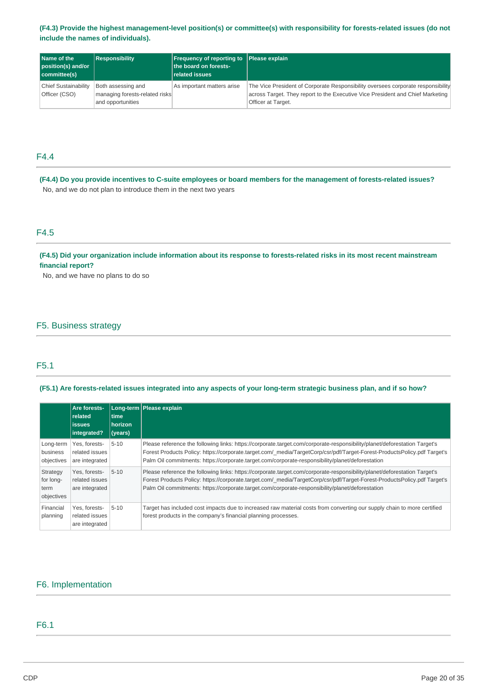## **(F4.3) Provide the highest management-level position(s) or committee(s) with responsibility for forests-related issues (do not include the names of individuals).**

| <b>Name of the</b><br>position(s) and/or<br>committee(s) | <b>Responsibility</b>                                                     | <b>Frequency of reporting to Please explain</b><br>the board on forests-<br>related issues |                                                                                                                                                                                          |
|----------------------------------------------------------|---------------------------------------------------------------------------|--------------------------------------------------------------------------------------------|------------------------------------------------------------------------------------------------------------------------------------------------------------------------------------------|
| <b>Chief Sustainability</b><br>Officer (CSO)             | Both assessing and<br>managing forests-related risks<br>and opportunities | As important matters arise                                                                 | The Vice President of Corporate Responsibility oversees corporate responsibility<br>across Target. They report to the Executive Vice President and Chief Marketing<br>Officer at Target. |

## F4.4

**(F4.4) Do you provide incentives to C-suite employees or board members for the management of forests-related issues?**  No, and we do not plan to introduce them in the next two years

## F4.5

**(F4.5) Did your organization include information about its response to forests-related risks in its most recent mainstream financial report?** 

No, and we have no plans to do so

## F5. Business strategy

## F5.1

#### **(F5.1) Are forests-related issues integrated into any aspects of your long-term strategic business plan, and if so how?**

|                                             | Are forests-<br>related<br><b>issues</b><br>integrated? | time<br>horizon<br>(years) | Long-term   Please explain                                                                                                                                                                                                                                                                                                                                |
|---------------------------------------------|---------------------------------------------------------|----------------------------|-----------------------------------------------------------------------------------------------------------------------------------------------------------------------------------------------------------------------------------------------------------------------------------------------------------------------------------------------------------|
| Long-term<br>business<br>objectives         | Yes, forests-<br>related issues<br>are integrated       | $5 - 10$                   | Please reference the following links: https://corporate.target.com/corporate-responsibility/planet/deforestation Target's<br>Forest Products Policy: https://corporate.target.com/ media/TargetCorp/csr/pdf/Target-Forest-ProductsPolicy.pdf Target's<br>Palm Oil commitments: https://corporate.target.com/corporate-responsibility/planet/deforestation |
| Strategy<br>for long-<br>term<br>objectives | Yes. forests-<br>related issues<br>are integrated       | $5 - 10$                   | Please reference the following links: https://corporate.target.com/corporate-responsibility/planet/deforestation Target's<br>Forest Products Policy: https://corporate.target.com/ media/TargetCorp/csr/pdf/Target-Forest-ProductsPolicy.pdf Target's<br>Palm Oil commitments: https://corporate.target.com/corporate-responsibility/planet/deforestation |
| Financial<br>planning                       | Yes, forests-<br>related issues<br>are integrated       | $5 - 10$                   | Target has included cost impacts due to increased raw material costs from converting our supply chain to more certified<br>forest products in the company's financial planning processes.                                                                                                                                                                 |

## F6. Implementation

## F6.1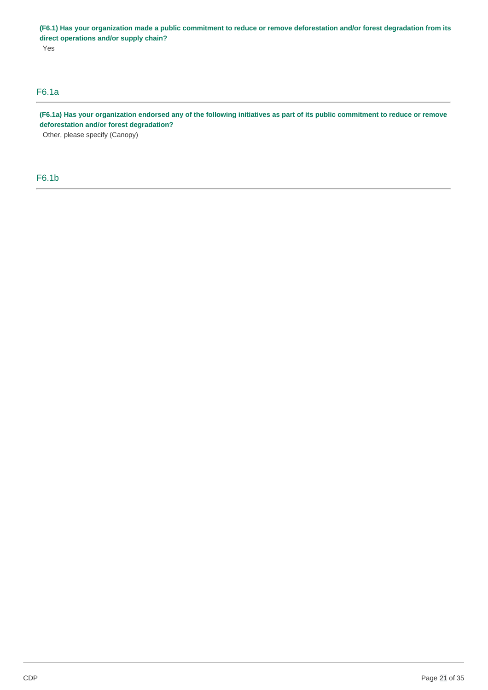**(F6.1) Has your organization made a public commitment to reduce or remove deforestation and/or forest degradation from its direct operations and/or supply chain?**  Yes

## F6.1a

**(F6.1a) Has your organization endorsed any of the following initiatives as part of its public commitment to reduce or remove deforestation and/or forest degradation?** 

Other, please specify (Canopy)

F6.1b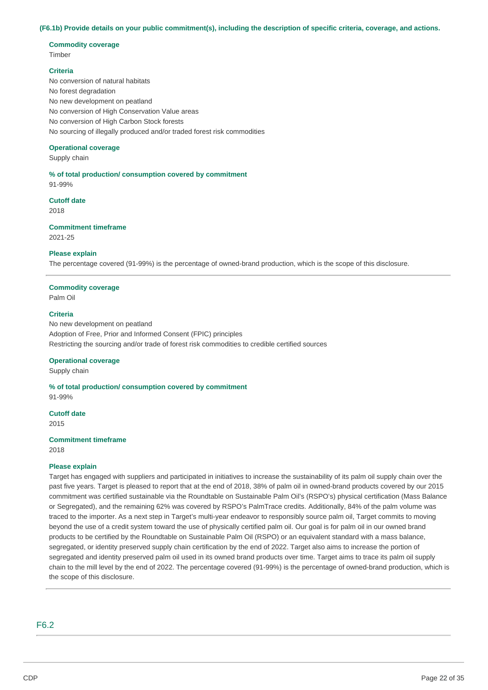#### **(F6.1b) Provide details on your public commitment(s), including the description of specific criteria, coverage, and actions.**

#### **Commodity coverage**  Timber

#### **Criteria**

No conversion of natural habitats No forest degradation No new development on peatland No conversion of High Conservation Value areas No conversion of High Carbon Stock forests No sourcing of illegally produced and/or traded forest risk commodities

#### **Operational coverage**

Supply chain

**% of total production/ consumption covered by commitment**  91-99%

## **Cutoff date**

2018

#### **Commitment timeframe**

2021-25

#### **Please explain**

The percentage covered (91-99%) is the percentage of owned-brand production, which is the scope of this disclosure.

## **Commodity coverage**

Palm Oil

#### **Criteria**

No new development on peatland Adoption of Free, Prior and Informed Consent (FPIC) principles Restricting the sourcing and/or trade of forest risk commodities to credible certified sources

#### **Operational coverage**

Supply chain

**% of total production/ consumption covered by commitment**  91-99%

**Cutoff date**  2015

## **Commitment timeframe**

2018

#### **Please explain**

Target has engaged with suppliers and participated in initiatives to increase the sustainability of its palm oil supply chain over the past five years. Target is pleased to report that at the end of 2018, 38% of palm oil in owned-brand products covered by our 2015 commitment was certified sustainable via the Roundtable on Sustainable Palm Oil's (RSPO's) physical certification (Mass Balance or Segregated), and the remaining 62% was covered by RSPO's PalmTrace credits. Additionally, 84% of the palm volume was traced to the importer. As a next step in Target's multi-year endeavor to responsibly source palm oil, Target commits to moving beyond the use of a credit system toward the use of physically certified palm oil. Our goal is for palm oil in our owned brand products to be certified by the Roundtable on Sustainable Palm Oil (RSPO) or an equivalent standard with a mass balance, segregated, or identity preserved supply chain certification by the end of 2022. Target also aims to increase the portion of segregated and identity preserved palm oil used in its owned brand products over time. Target aims to trace its palm oil supply chain to the mill level by the end of 2022. The percentage covered (91-99%) is the percentage of owned-brand production, which is the scope of this disclosure.

## F6.2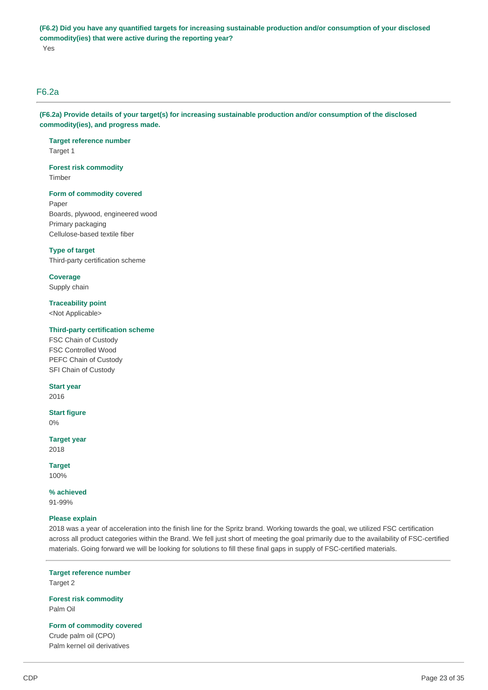**(F6.2) Did you have any quantified targets for increasing sustainable production and/or consumption of your disclosed commodity(ies) that were active during the reporting year?**  Yes

## F6.2a

**(F6.2a) Provide details of your target(s) for increasing sustainable production and/or consumption of the disclosed commodity(ies), and progress made.** 

**Target reference number**  Target 1

**Forest risk commodity**  Timber

#### **Form of commodity covered**

Paper Boards, plywood, engineered wood Primary packaging Cellulose-based textile fiber

#### **Type of target**

Third-party certification scheme

#### **Coverage**

Supply chain

### **Traceability point**

<Not Applicable>

#### **Third-party certification scheme**

FSC Chain of Custody FSC Controlled Wood PEFC Chain of Custody SFI Chain of Custody

#### **Start year**

2016

## **Start figure**

0%

**Target year**  2018

**Target**  100%

**% achieved**  91-99%

#### **Please explain**

2018 was a year of acceleration into the finish line for the Spritz brand. Working towards the goal, we utilized FSC certification across all product categories within the Brand. We fell just short of meeting the goal primarily due to the availability of FSC-certified materials. Going forward we will be looking for solutions to fill these final gaps in supply of FSC-certified materials.

**Target reference number**  Target 2

**Forest risk commodity**  Palm Oil

**Form of commodity covered** 

Crude palm oil (CPO) Palm kernel oil derivatives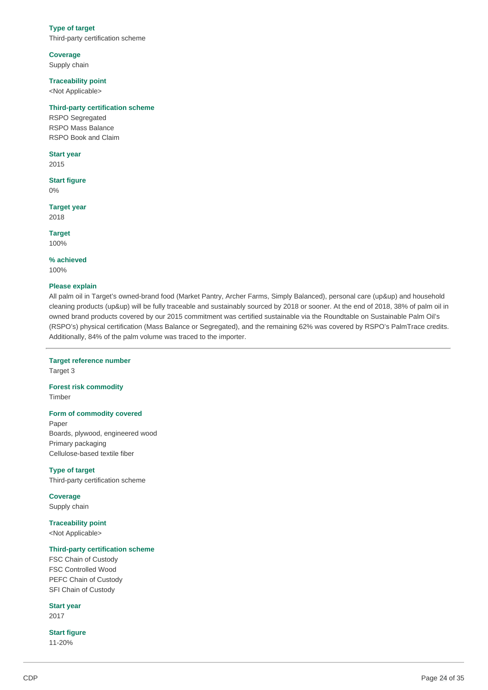#### **Type of target**

Third-party certification scheme

### **Coverage**

Supply chain

#### **Traceability point**

<Not Applicable>

#### **Third-party certification scheme**

RSPO Segregated RSPO Mass Balance RSPO Book and Claim

#### **Start year**

2015

## **Start figure**

0%

## **Target year**

2018

**Target**  100%

**% achieved**  100%

#### **Please explain**

All palm oil in Target's owned-brand food (Market Pantry, Archer Farms, Simply Balanced), personal care (up&up) and household cleaning products (up&up) will be fully traceable and sustainably sourced by 2018 or sooner. At the end of 2018, 38% of palm oil in owned brand products covered by our 2015 commitment was certified sustainable via the Roundtable on Sustainable Palm Oil's (RSPO's) physical certification (Mass Balance or Segregated), and the remaining 62% was covered by RSPO's PalmTrace credits. Additionally, 84% of the palm volume was traced to the importer.

## **Target reference number**

Target 3

### **Forest risk commodity**  Timber

#### **Form of commodity covered**

Paper Boards, plywood, engineered wood Primary packaging Cellulose-based textile fiber

**Type of target**  Third-party certification scheme

**Coverage**  Supply chain

#### **Traceability point**

<Not Applicable>

#### **Third-party certification scheme**

FSC Chain of Custody FSC Controlled Wood PEFC Chain of Custody SFI Chain of Custody

**Start year**  2017

**Start figure**  11-20%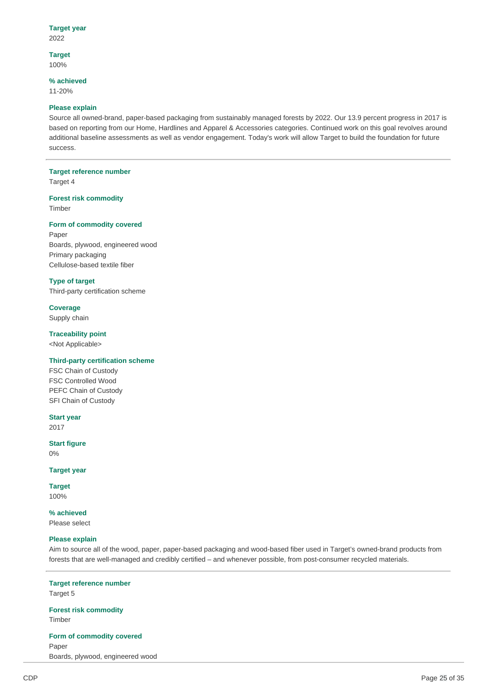#### **Target year**  2022

**Target**  100%

#### **% achieved**

11-20%

#### **Please explain**

Source all owned-brand, paper-based packaging from sustainably managed forests by 2022. Our 13.9 percent progress in 2017 is based on reporting from our Home, Hardlines and Apparel & Accessories categories. Continued work on this goal revolves around additional baseline assessments as well as vendor engagement. Today's work will allow Target to build the foundation for future success.

## **Target reference number**

Target 4

#### **Forest risk commodity**  Timber

#### **Form of commodity covered**

Paper Boards, plywood, engineered wood Primary packaging Cellulose-based textile fiber

### **Type of target**

Third-party certification scheme

## **Coverage**

Supply chain

### **Traceability point**

<Not Applicable>

## **Third-party certification scheme**

FSC Chain of Custody FSC Controlled Wood PEFC Chain of Custody SFI Chain of Custody

#### **Start year**  2017

## **Start figure**

0%

## **Target year**

**Target**  100%

**% achieved** 

Please select

#### **Please explain**

Aim to source all of the wood, paper, paper-based packaging and wood-based fiber used in Target's owned-brand products from forests that are well-managed and credibly certified – and whenever possible, from post-consumer recycled materials.

**Target reference number**  Target 5

**Forest risk commodity**  Timber

**Form of commodity covered**  Paper Boards, plywood, engineered wood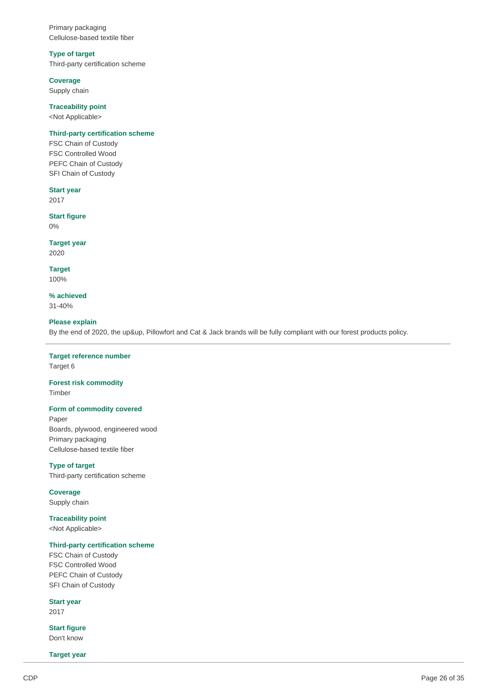Primary packaging Cellulose-based textile fiber

#### **Type of target**

Third-party certification scheme

#### **Coverage**

Supply chain

## **Traceability point**

<Not Applicable>

#### **Third-party certification scheme**

FSC Chain of Custody FSC Controlled Wood PEFC Chain of Custody SFI Chain of Custody

## **Start year**

2017

### **Start figure**  0%

**Target year**  2020

**Target**  100%

**% achieved**  31-40%

### **Please explain**

By the end of 2020, the up&up, Pillowfort and Cat & Jack brands will be fully compliant with our forest products policy.

#### **Target reference number**  Target 6

**Forest risk commodity**  Timber

#### **Form of commodity covered**

Paper Boards, plywood, engineered wood Primary packaging Cellulose-based textile fiber

**Type of target**  Third-party certification scheme

**Coverage**  Supply chain

### **Traceability point**  <Not Applicable>

## **Third-party certification scheme**

FSC Chain of Custody FSC Controlled Wood PEFC Chain of Custody SFI Chain of Custody

**Start year** 

2017

**Start figure**  Don't know

**Target year**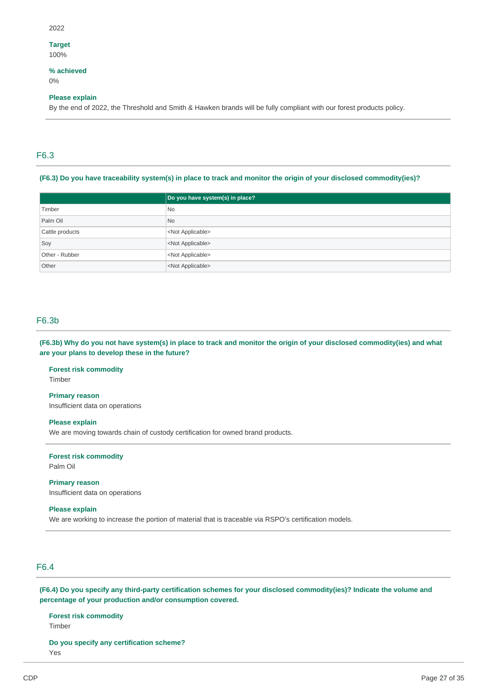#### 2022

## **Target**

100%

#### **% achieved**  0%

#### **Please explain**

By the end of 2022, the Threshold and Smith & Hawken brands will be fully compliant with our forest products policy.

## F6.3

#### **(F6.3) Do you have traceability system(s) in place to track and monitor the origin of your disclosed commodity(ies)?**

|                 | Do you have system(s) in place? |
|-----------------|---------------------------------|
| Timber          | <b>No</b>                       |
| Palm Oil        | N <sub>o</sub>                  |
| Cattle products | <not applicable=""></not>       |
| Soy             | <not applicable=""></not>       |
| Other - Rubber  | <not applicable=""></not>       |
| Other           | <not applicable=""></not>       |

## F6.3b

**(F6.3b) Why do you not have system(s) in place to track and monitor the origin of your disclosed commodity(ies) and what are your plans to develop these in the future?** 

#### **Forest risk commodity**  Timber

**Primary reason**  Insufficient data on operations

## **Please explain**

We are moving towards chain of custody certification for owned brand products.

**Forest risk commodity**  Palm Oil

**Primary reason**  Insufficient data on operations

#### **Please explain**

We are working to increase the portion of material that is traceable via RSPO's certification models.

## F6.4

**(F6.4) Do you specify any third-party certification schemes for your disclosed commodity(ies)? Indicate the volume and percentage of your production and/or consumption covered.** 

**Forest risk commodity**  Timber

**Do you specify any certification scheme?**  Yes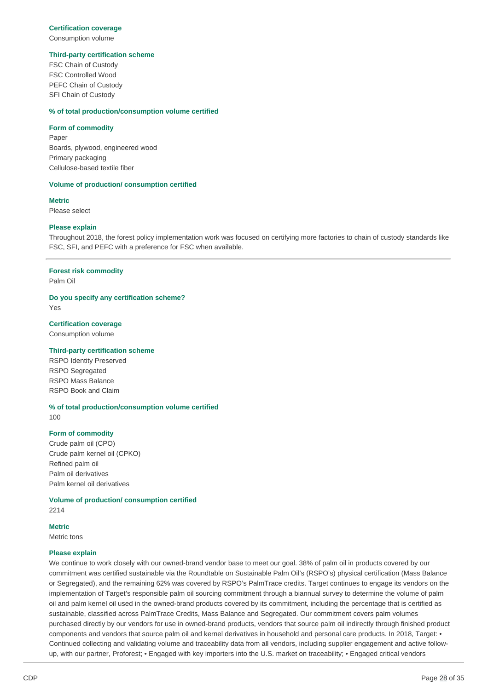## **Certification coverage**

Consumption volume

#### **Third-party certification scheme**

FSC Chain of Custody FSC Controlled Wood PEFC Chain of Custody SFI Chain of Custody

#### **% of total production/consumption volume certified**

#### **Form of commodity**

Paper Boards, plywood, engineered wood Primary packaging Cellulose-based textile fiber

#### **Volume of production/ consumption certified**

**Metric**  Please select

#### **Please explain**

Throughout 2018, the forest policy implementation work was focused on certifying more factories to chain of custody standards like FSC, SFI, and PEFC with a preference for FSC when available.

#### **Forest risk commodity**

Palm Oil

**Do you specify any certification scheme?** 

Yes

**Certification coverage** 

Consumption volume

#### **Third-party certification scheme**

RSPO Identity Preserved RSPO Segregated RSPO Mass Balance RSPO Book and Claim

**% of total production/consumption volume certified**  100

#### **Form of commodity**

Crude palm oil (CPO) Crude palm kernel oil (CPKO) Refined palm oil Palm oil derivatives Palm kernel oil derivatives

**Volume of production/ consumption certified** 

2214

#### **Metric**

Metric tons

#### **Please explain**

We continue to work closely with our owned-brand vendor base to meet our goal. 38% of palm oil in products covered by our commitment was certified sustainable via the Roundtable on Sustainable Palm Oil's (RSPO's) physical certification (Mass Balance or Segregated), and the remaining 62% was covered by RSPO's PalmTrace credits. Target continues to engage its vendors on the implementation of Target's responsible palm oil sourcing commitment through a biannual survey to determine the volume of palm oil and palm kernel oil used in the owned-brand products covered by its commitment, including the percentage that is certified as sustainable, classified across PalmTrace Credits, Mass Balance and Segregated. Our commitment covers palm volumes purchased directly by our vendors for use in owned-brand products, vendors that source palm oil indirectly through finished product components and vendors that source palm oil and kernel derivatives in household and personal care products. In 2018, Target: • Continued collecting and validating volume and traceability data from all vendors, including supplier engagement and active followup, with our partner, Proforest; • Engaged with key importers into the U.S. market on traceability; • Engaged critical vendors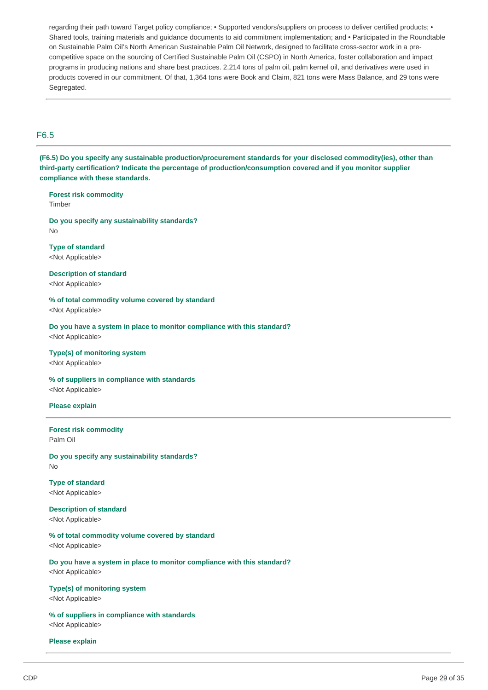regarding their path toward Target policy compliance; • Supported vendors/suppliers on process to deliver certified products; • Shared tools, training materials and guidance documents to aid commitment implementation; and • Participated in the Roundtable on Sustainable Palm Oil's North American Sustainable Palm Oil Network, designed to facilitate cross-sector work in a precompetitive space on the sourcing of Certified Sustainable Palm Oil (CSPO) in North America, foster collaboration and impact programs in producing nations and share best practices. 2,214 tons of palm oil, palm kernel oil, and derivatives were used in products covered in our commitment. Of that, 1,364 tons were Book and Claim, 821 tons were Mass Balance, and 29 tons were Segregated.

## F6.5

**(F6.5) Do you specify any sustainable production/procurement standards for your disclosed commodity(ies), other than third-party certification? Indicate the percentage of production/consumption covered and if you monitor supplier compliance with these standards.** 

## **Forest risk commodity**

Timber

#### **Do you specify any sustainability standards?**  No

## **Type of standard**

<Not Applicable>

### **Description of standard**  <Not Applicable>

#### **% of total commodity volume covered by standard**  <Not Applicable>

**Do you have a system in place to monitor compliance with this standard?** 

<Not Applicable>

#### **Type(s) of monitoring system**

<Not Applicable>

#### **% of suppliers in compliance with standards**

<Not Applicable>

#### **Please explain**

#### **Forest risk commodity**  Palm Oil

#### **Do you specify any sustainability standards?**  No

**Type of standard**  <Not Applicable>

## **Description of standard**

<Not Applicable>

## **% of total commodity volume covered by standard**

<Not Applicable>

### **Do you have a system in place to monitor compliance with this standard?**  <Not Applicable>

### **Type(s) of monitoring system**

<Not Applicable>

## **% of suppliers in compliance with standards**

<Not Applicable>

#### **Please explain**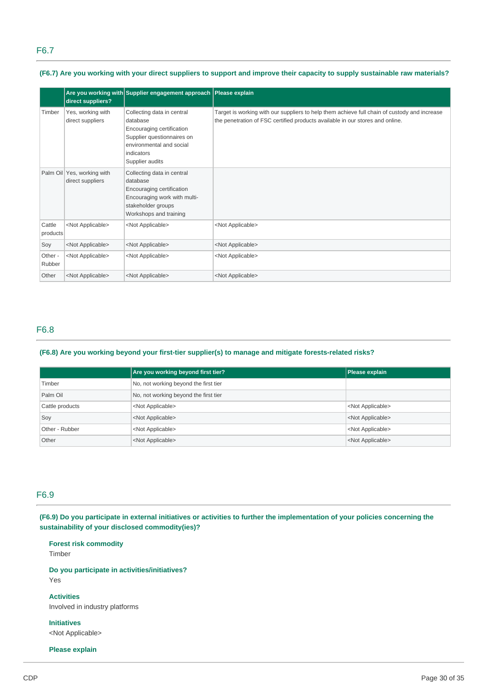## F6.7

**(F6.7) Are you working with your direct suppliers to support and improve their capacity to supply sustainable raw materials?** 

|                    | direct suppliers?                              | Are you working with Supplier engagement approach Please explain                                                                                               |                                                                                                                                                                               |
|--------------------|------------------------------------------------|----------------------------------------------------------------------------------------------------------------------------------------------------------------|-------------------------------------------------------------------------------------------------------------------------------------------------------------------------------|
| Timber             | Yes, working with<br>direct suppliers          | Collecting data in central<br>database<br>Encouraging certification<br>Supplier questionnaires on<br>environmental and social<br>indicators<br>Supplier audits | Target is working with our suppliers to help them achieve full chain of custody and increase<br>the penetration of FSC certified products available in our stores and online. |
|                    | Palm Oil Yes, working with<br>direct suppliers | Collecting data in central<br>database<br>Encouraging certification<br>Encouraging work with multi-<br>stakeholder groups<br>Workshops and training            |                                                                                                                                                                               |
| Cattle<br>products | <not applicable=""></not>                      | <not applicable=""></not>                                                                                                                                      | <not applicable=""></not>                                                                                                                                                     |
| Soy                | <not applicable=""></not>                      | <not applicable=""></not>                                                                                                                                      | <not applicable=""></not>                                                                                                                                                     |
| Other -<br>Rubber  | <not applicable=""></not>                      | <not applicable=""></not>                                                                                                                                      | <not applicable=""></not>                                                                                                                                                     |
| Other              | <not applicable=""></not>                      | <not applicable=""></not>                                                                                                                                      | <not applicable=""></not>                                                                                                                                                     |

## F6.8

### **(F6.8) Are you working beyond your first-tier supplier(s) to manage and mitigate forests-related risks?**

|                 | Are you working beyond first tier?    | Please explain            |
|-----------------|---------------------------------------|---------------------------|
| Timber          | No, not working beyond the first tier |                           |
| Palm Oil        | No, not working beyond the first tier |                           |
| Cattle products | <not applicable=""></not>             | <not applicable=""></not> |
| Soy             | <not applicable=""></not>             | <not applicable=""></not> |
| Other - Rubber  | <not applicable=""></not>             | <not applicable=""></not> |
| Other           | <not applicable=""></not>             | <not applicable=""></not> |

## F6.9

**(F6.9) Do you participate in external initiatives or activities to further the implementation of your policies concerning the sustainability of your disclosed commodity(ies)?** 

**Forest risk commodity**  Timber

**Do you participate in activities/initiatives?**  Yes

**Activities**  Involved in industry platforms

**Initiatives**  <Not Applicable>

**Please explain**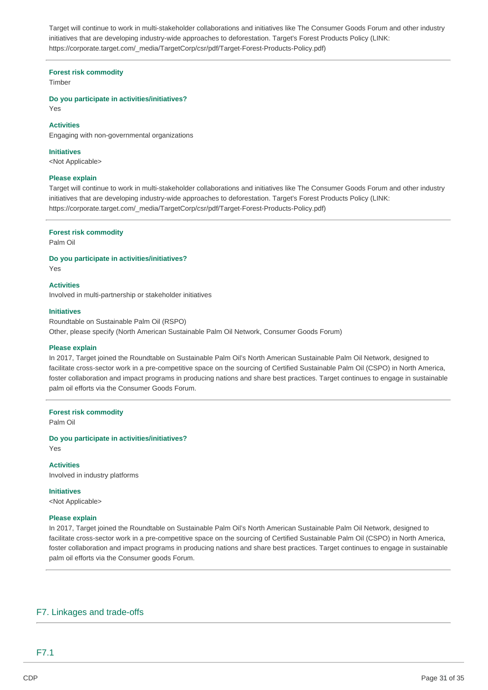Target will continue to work in multi-stakeholder collaborations and initiatives like The Consumer Goods Forum and other industry initiatives that are developing industry-wide approaches to deforestation. Target's Forest Products Policy (LINK: [https://corporate.target.com/\\_media/TargetCorp/csr/pdf/Target-Forest-Products-Policy.pdf\)](https://corporate.target.com/_media/TargetCorp/csr/pdf/Target-Forest-Products-Policy.pdf)

#### **Forest risk commodity**

Timber

**Do you participate in activities/initiatives?** 

Yes

#### **Activities**

Engaging with non-governmental organizations

**Initiatives** 

<Not Applicable>

#### **Please explain**

Target will continue to work in multi-stakeholder collaborations and initiatives like The Consumer Goods Forum and other industry initiatives that are developing industry-wide approaches to deforestation. Target's Forest Products Policy (LINK: [https://corporate.target.com/\\_media/TargetCorp/csr/pdf/Target-Forest-Products-Policy.pdf\)](https://corporate.target.com/_media/TargetCorp/csr/pdf/Target-Forest-Products-Policy.pdf)

#### **Forest risk commodity**

Palm Oil

**Do you participate in activities/initiatives?** 

Yes

**Activities** 

Involved in multi-partnership or stakeholder initiatives

#### **Initiatives**

Roundtable on Sustainable Palm Oil (RSPO) Other, please specify (North American Sustainable Palm Oil Network, Consumer Goods Forum)

#### **Please explain**

In 2017, Target joined the Roundtable on Sustainable Palm Oil's North American Sustainable Palm Oil Network, designed to facilitate cross-sector work in a pre-competitive space on the sourcing of Certified Sustainable Palm Oil (CSPO) in North America, foster collaboration and impact programs in producing nations and share best practices. Target continues to engage in sustainable palm oil efforts via the Consumer Goods Forum.

#### **Forest risk commodity**

Palm Oil

**Do you participate in activities/initiatives?**  Yes

**Activities**  Involved in industry platforms

**Initiatives**  <Not Applicable>

#### **Please explain**

In 2017, Target joined the Roundtable on Sustainable Palm Oil's North American Sustainable Palm Oil Network, designed to facilitate cross-sector work in a pre-competitive space on the sourcing of Certified Sustainable Palm Oil (CSPO) in North America, foster collaboration and impact programs in producing nations and share best practices. Target continues to engage in sustainable palm oil efforts via the Consumer goods Forum.

## F7. Linkages and trade-offs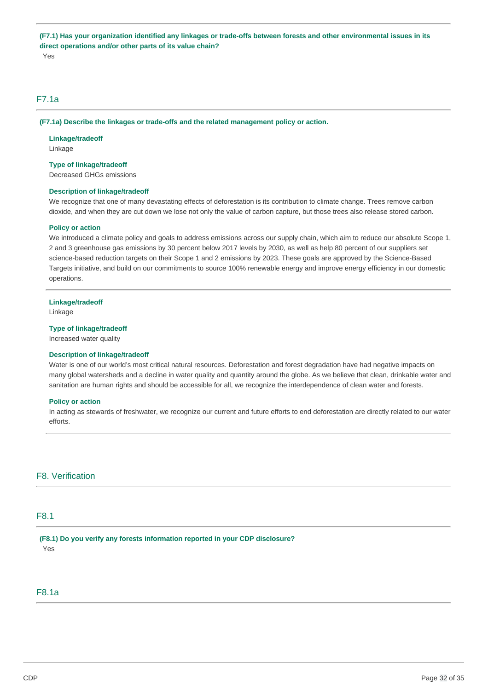**(F7.1) Has your organization identified any linkages or trade-offs between forests and other environmental issues in its direct operations and/or other parts of its value chain?**  Yes

## F7.1a

**(F7.1a) Describe the linkages or trade-offs and the related management policy or action.** 

**Linkage/tradeoff**  Linkage

#### **Type of linkage/tradeoff**

Decreased GHGs emissions

#### **Description of linkage/tradeoff**

We recognize that one of many devastating effects of deforestation is its contribution to climate change. Trees remove carbon dioxide, and when they are cut down we lose not only the value of carbon capture, but those trees also release stored carbon.

#### **Policy or action**

We introduced a climate policy and goals to address emissions across our supply chain, which aim to reduce our absolute Scope 1, 2 and 3 greenhouse gas emissions by 30 percent below 2017 levels by 2030, as well as help 80 percent of our suppliers set science-based reduction targets on their Scope 1 and 2 emissions by 2023. These goals are approved by the Science-Based Targets initiative, and build on our commitments to source 100% renewable energy and improve energy efficiency in our domestic operations.

#### **Linkage/tradeoff**

Linkage

#### **Type of linkage/tradeoff**

Increased water quality

#### **Description of linkage/tradeoff**

Water is one of our world's most critical natural resources. Deforestation and forest degradation have had negative impacts on many global watersheds and a decline in water quality and quantity around the globe. As we believe that clean, drinkable water and sanitation are human rights and should be accessible for all, we recognize the interdependence of clean water and forests.

#### **Policy or action**

In acting as stewards of freshwater, we recognize our current and future efforts to end deforestation are directly related to our water efforts.

## F8. Verification

## F8.1

**(F8.1) Do you verify any forests information reported in your CDP disclosure?**  Yes

## F8.1a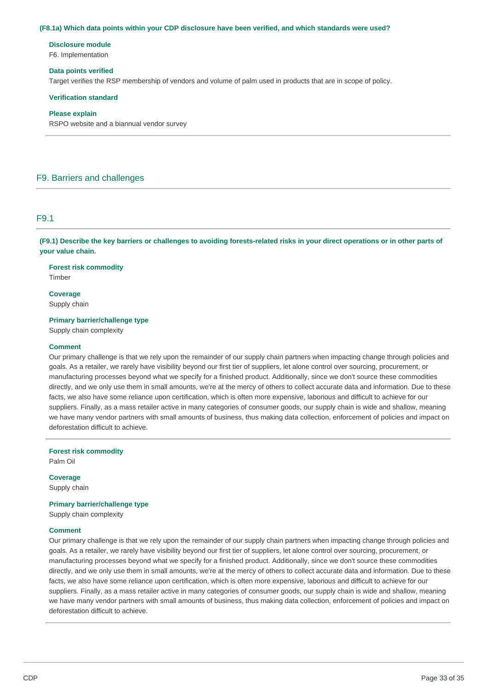#### **(F8.1a) Which data points within your CDP disclosure have been verified, and which standards were used?**

# **Disclosure module**

F6. Implementation

#### **Data points verified**

Target verifies the RSP membership of vendors and volume of palm used in products that are in scope of policy.

#### **Verification standard**

#### **Please explain**

RSPO website and a biannual vendor survey

## F9. Barriers and challenges

#### F9.1

**(F9.1) Describe the key barriers or challenges to avoiding forests-related risks in your direct operations or in other parts of your value chain.** 

**Forest risk commodity**  Timber

**Coverage**  Supply chain

**Primary barrier/challenge type** 

Supply chain complexity

#### **Comment**

Our primary challenge is that we rely upon the remainder of our supply chain partners when impacting change through policies and goals. As a retailer, we rarely have visibility beyond our first tier of suppliers, let alone control over sourcing, procurement, or manufacturing processes beyond what we specify for a finished product. Additionally, since we don't source these commodities directly, and we only use them in small amounts, we're at the mercy of others to collect accurate data and information. Due to these facts, we also have some reliance upon certification, which is often more expensive, laborious and difficult to achieve for our suppliers. Finally, as a mass retailer active in many categories of consumer goods, our supply chain is wide and shallow, meaning we have many vendor partners with small amounts of business, thus making data collection, enforcement of policies and impact on deforestation difficult to achieve.

**Forest risk commodity** 

Palm Oil

#### **Coverage**

Supply chain

#### **Primary barrier/challenge type**

Supply chain complexity

#### **Comment**

Our primary challenge is that we rely upon the remainder of our supply chain partners when impacting change through policies and goals. As a retailer, we rarely have visibility beyond our first tier of suppliers, let alone control over sourcing, procurement, or manufacturing processes beyond what we specify for a finished product. Additionally, since we don't source these commodities directly, and we only use them in small amounts, we're at the mercy of others to collect accurate data and information. Due to these facts, we also have some reliance upon certification, which is often more expensive, laborious and difficult to achieve for our suppliers. Finally, as a mass retailer active in many categories of consumer goods, our supply chain is wide and shallow, meaning we have many vendor partners with small amounts of business, thus making data collection, enforcement of policies and impact on deforestation difficult to achieve.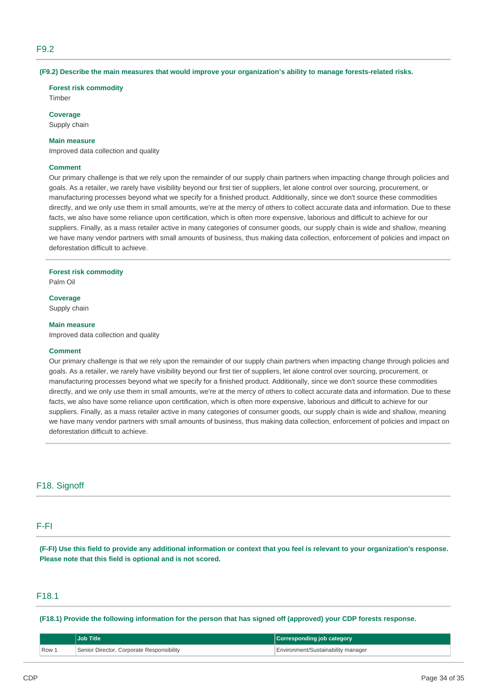## F9.2

#### **(F9.2) Describe the main measures that would improve your organization's ability to manage forests-related risks.**

#### **Forest risk commodity**

Timber

**Coverage** 

Supply chain

#### **Main measure**

Improved data collection and quality

#### **Comment**

Our primary challenge is that we rely upon the remainder of our supply chain partners when impacting change through policies and goals. As a retailer, we rarely have visibility beyond our first tier of suppliers, let alone control over sourcing, procurement, or manufacturing processes beyond what we specify for a finished product. Additionally, since we don't source these commodities directly, and we only use them in small amounts, we're at the mercy of others to collect accurate data and information. Due to these facts, we also have some reliance upon certification, which is often more expensive, laborious and difficult to achieve for our suppliers. Finally, as a mass retailer active in many categories of consumer goods, our supply chain is wide and shallow, meaning we have many vendor partners with small amounts of business, thus making data collection, enforcement of policies and impact on deforestation difficult to achieve.

#### **Forest risk commodity**

Palm Oil

**Coverage**  Supply chain

#### **Main measure**

Improved data collection and quality

#### **Comment**

Our primary challenge is that we rely upon the remainder of our supply chain partners when impacting change through policies and goals. As a retailer, we rarely have visibility beyond our first tier of suppliers, let alone control over sourcing, procurement, or manufacturing processes beyond what we specify for a finished product. Additionally, since we don't source these commodities directly, and we only use them in small amounts, we're at the mercy of others to collect accurate data and information. Due to these facts, we also have some reliance upon certification, which is often more expensive, laborious and difficult to achieve for our suppliers. Finally, as a mass retailer active in many categories of consumer goods, our supply chain is wide and shallow, meaning we have many vendor partners with small amounts of business, thus making data collection, enforcement of policies and impact on deforestation difficult to achieve.

### F18. Signoff

## F-FI

**(F-FI) Use this field to provide any additional information or context that you feel is relevant to your organization's response. Please note that this field is optional and is not scored.** 

## F18.1

**(F18.1) Provide the following information for the person that has signed off (approved) your CDP forests response.** 

|      | Job Title                                 | Corresponding job category         |
|------|-------------------------------------------|------------------------------------|
| Row. | Senior Director, Corporate Responsibility | Environment/Sustainability manager |